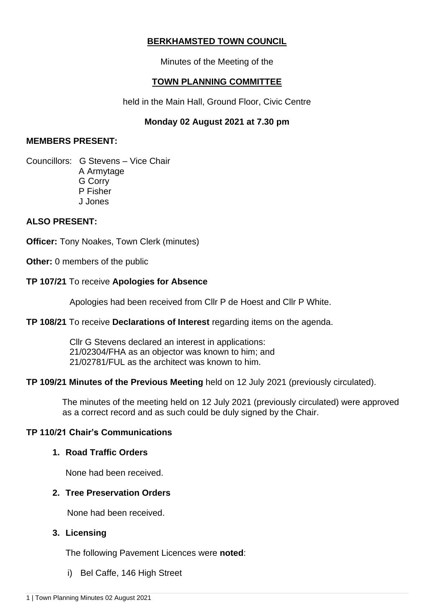# **BERKHAMSTED TOWN COUNCIL**

Minutes of the Meeting of the

## **TOWN PLANNING COMMITTEE**

held in the Main Hall, Ground Floor, Civic Centre

### **Monday 02 August 2021 at 7.30 pm**

### **MEMBERS PRESENT:**

Councillors: G Stevens – Vice Chair A Armytage G Corry P Fisher J Jones

#### **ALSO PRESENT:**

**Officer:** Tony Noakes, Town Clerk (minutes)

**Other:** 0 members of the public

#### **TP 107/21** To receive **Apologies for Absence**

Apologies had been received from Cllr P de Hoest and Cllr P White.

#### **TP 108/21** To receive **Declarations of Interest** regarding items on the agenda.

 Cllr G Stevens declared an interest in applications: 21/02304/FHA as an objector was known to him; and 21/02781/FUL as the architect was known to him.

#### **TP 109/21 Minutes of the Previous Meeting** held on 12 July 2021 (previously circulated).

 The minutes of the meeting held on 12 July 2021 (previously circulated) were approved as a correct record and as such could be duly signed by the Chair.

#### **TP 110/21 Chair's Communications**

### **1. Road Traffic Orders**

None had been received.

#### **2. Tree Preservation Orders**

None had been received.

#### **3. Licensing**

The following Pavement Licences were **noted**:

i) Bel Caffe, 146 High Street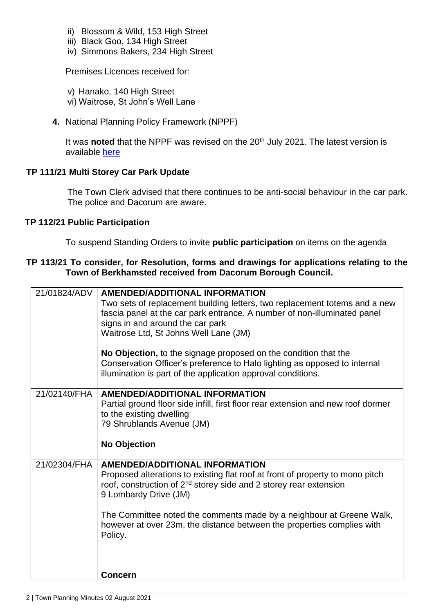- ii) Blossom & Wild, 153 High Street
- iii) Black Goo, 134 High Street
- iv) Simmons Bakers, 234 High Street

Premises Licences received for:

- v) Hanako, 140 High Street
- vi) Waitrose, St John's Well Lane
- **4.** National Planning Policy Framework (NPPF)

It was **noted** that the NPPF was revised on the 20<sup>th</sup> July 2021. The latest version is available [here](https://www.gov.uk/government/publications/national-planning-policy-framework--2)

## **TP 111/21 Multi Storey Car Park Update**

The Town Clerk advised that there continues to be anti-social behaviour in the car park. The police and Dacorum are aware.

### **TP 112/21 Public Participation**

To suspend Standing Orders to invite **public participation** on items on the agenda

### **TP 113/21 To consider, for Resolution, forms and drawings for applications relating to the Town of Berkhamsted received from Dacorum Borough Council.**

| signs in and around the car park<br>Waitrose Ltd, St Johns Well Lane (JM)                                                                                | Two sets of replacement building letters, two replacement totems and a new<br>fascia panel at the car park entrance. A number of non-illuminated panel |
|----------------------------------------------------------------------------------------------------------------------------------------------------------|--------------------------------------------------------------------------------------------------------------------------------------------------------|
| No Objection, to the signage proposed on the condition that the<br>illumination is part of the application approval conditions.                          | Conservation Officer's preference to Halo lighting as opposed to internal                                                                              |
| 21/02140/FHA<br><b>AMENDED/ADDITIONAL INFORMATION</b><br>to the existing dwelling<br>79 Shrublands Avenue (JM)                                           | Partial ground floor side infill, first floor rear extension and new roof dormer                                                                       |
|                                                                                                                                                          |                                                                                                                                                        |
| 21/02304/FHA<br><b>AMENDED/ADDITIONAL INFORMATION</b><br>roof, construction of $2^{nd}$ storey side and 2 storey rear extension<br>9 Lombardy Drive (JM) | Proposed alterations to existing flat roof at front of property to mono pitch                                                                          |
| Policy.                                                                                                                                                  | The Committee noted the comments made by a neighbour at Greene Walk,<br>however at over 23m, the distance between the properties complies with         |
| <b>Concern</b>                                                                                                                                           |                                                                                                                                                        |
| <b>No Objection</b>                                                                                                                                      |                                                                                                                                                        |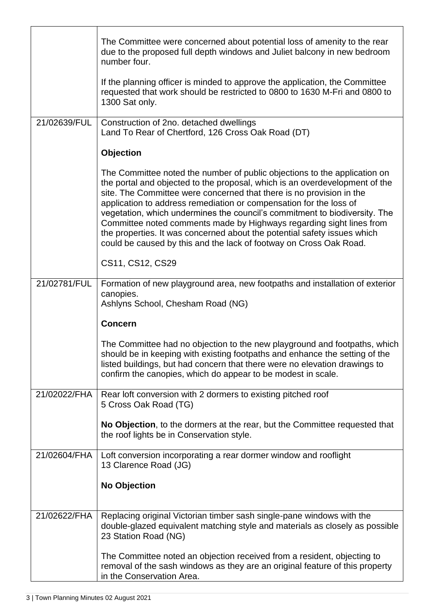|              | The Committee were concerned about potential loss of amenity to the rear<br>due to the proposed full depth windows and Juliet balcony in new bedroom<br>number four.                                                                                                                                                                                                                                                                                                                                                                                                                                           |
|--------------|----------------------------------------------------------------------------------------------------------------------------------------------------------------------------------------------------------------------------------------------------------------------------------------------------------------------------------------------------------------------------------------------------------------------------------------------------------------------------------------------------------------------------------------------------------------------------------------------------------------|
|              | If the planning officer is minded to approve the application, the Committee<br>requested that work should be restricted to 0800 to 1630 M-Fri and 0800 to<br>1300 Sat only.                                                                                                                                                                                                                                                                                                                                                                                                                                    |
| 21/02639/FUL | Construction of 2no. detached dwellings<br>Land To Rear of Chertford, 126 Cross Oak Road (DT)                                                                                                                                                                                                                                                                                                                                                                                                                                                                                                                  |
|              | <b>Objection</b>                                                                                                                                                                                                                                                                                                                                                                                                                                                                                                                                                                                               |
|              | The Committee noted the number of public objections to the application on<br>the portal and objected to the proposal, which is an overdevelopment of the<br>site. The Committee were concerned that there is no provision in the<br>application to address remediation or compensation for the loss of<br>vegetation, which undermines the council's commitment to biodiversity. The<br>Committee noted comments made by Highways regarding sight lines from<br>the properties. It was concerned about the potential safety issues which<br>could be caused by this and the lack of footway on Cross Oak Road. |
|              | CS11, CS12, CS29                                                                                                                                                                                                                                                                                                                                                                                                                                                                                                                                                                                               |
| 21/02781/FUL | Formation of new playground area, new footpaths and installation of exterior<br>canopies.<br>Ashlyns School, Chesham Road (NG)                                                                                                                                                                                                                                                                                                                                                                                                                                                                                 |
|              | <b>Concern</b>                                                                                                                                                                                                                                                                                                                                                                                                                                                                                                                                                                                                 |
|              | The Committee had no objection to the new playground and footpaths, which<br>should be in keeping with existing footpaths and enhance the setting of the<br>listed buildings, but had concern that there were no elevation drawings to<br>confirm the canopies, which do appear to be modest in scale.                                                                                                                                                                                                                                                                                                         |
| 21/02022/FHA | Rear loft conversion with 2 dormers to existing pitched roof<br>5 Cross Oak Road (TG)                                                                                                                                                                                                                                                                                                                                                                                                                                                                                                                          |
|              | No Objection, to the dormers at the rear, but the Committee requested that<br>the roof lights be in Conservation style.                                                                                                                                                                                                                                                                                                                                                                                                                                                                                        |
| 21/02604/FHA | Loft conversion incorporating a rear dormer window and rooflight<br>13 Clarence Road (JG)                                                                                                                                                                                                                                                                                                                                                                                                                                                                                                                      |
|              | <b>No Objection</b>                                                                                                                                                                                                                                                                                                                                                                                                                                                                                                                                                                                            |
| 21/02622/FHA | Replacing original Victorian timber sash single-pane windows with the<br>double-glazed equivalent matching style and materials as closely as possible<br>23 Station Road (NG)                                                                                                                                                                                                                                                                                                                                                                                                                                  |
|              | The Committee noted an objection received from a resident, objecting to<br>removal of the sash windows as they are an original feature of this property<br>in the Conservation Area.                                                                                                                                                                                                                                                                                                                                                                                                                           |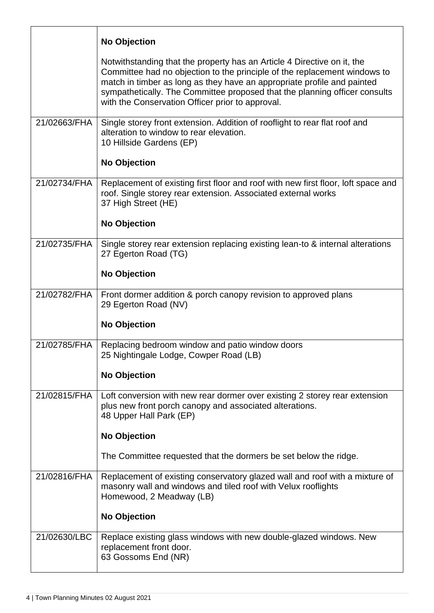|              | <b>No Objection</b>                                                                                                                                                                                                                                                                                                                                               |
|--------------|-------------------------------------------------------------------------------------------------------------------------------------------------------------------------------------------------------------------------------------------------------------------------------------------------------------------------------------------------------------------|
|              | Notwithstanding that the property has an Article 4 Directive on it, the<br>Committee had no objection to the principle of the replacement windows to<br>match in timber as long as they have an appropriate profile and painted<br>sympathetically. The Committee proposed that the planning officer consults<br>with the Conservation Officer prior to approval. |
| 21/02663/FHA | Single storey front extension. Addition of rooflight to rear flat roof and<br>alteration to window to rear elevation.<br>10 Hillside Gardens (EP)<br><b>No Objection</b>                                                                                                                                                                                          |
| 21/02734/FHA | Replacement of existing first floor and roof with new first floor, loft space and<br>roof. Single storey rear extension. Associated external works<br>37 High Street (HE)<br><b>No Objection</b>                                                                                                                                                                  |
| 21/02735/FHA | Single storey rear extension replacing existing lean-to & internal alterations<br>27 Egerton Road (TG)<br><b>No Objection</b>                                                                                                                                                                                                                                     |
| 21/02782/FHA | Front dormer addition & porch canopy revision to approved plans<br>29 Egerton Road (NV)<br><b>No Objection</b>                                                                                                                                                                                                                                                    |
| 21/02785/FHA | Replacing bedroom window and patio window doors<br>25 Nightingale Lodge, Cowper Road (LB)<br><b>No Objection</b>                                                                                                                                                                                                                                                  |
| 21/02815/FHA | Loft conversion with new rear dormer over existing 2 storey rear extension<br>plus new front porch canopy and associated alterations.<br>48 Upper Hall Park (EP)<br><b>No Objection</b><br>The Committee requested that the dormers be set below the ridge.                                                                                                       |
| 21/02816/FHA | Replacement of existing conservatory glazed wall and roof with a mixture of<br>masonry wall and windows and tiled roof with Velux rooflights<br>Homewood, 2 Meadway (LB)<br><b>No Objection</b>                                                                                                                                                                   |
| 21/02630/LBC | Replace existing glass windows with new double-glazed windows. New<br>replacement front door.<br>63 Gossoms End (NR)                                                                                                                                                                                                                                              |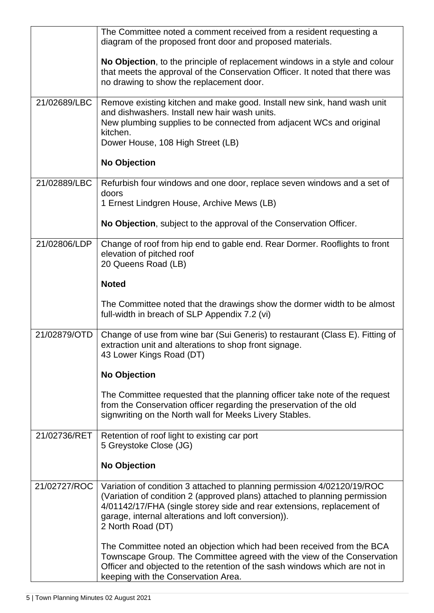|              | The Committee noted a comment received from a resident requesting a                                                                                                                                                                                                                                         |
|--------------|-------------------------------------------------------------------------------------------------------------------------------------------------------------------------------------------------------------------------------------------------------------------------------------------------------------|
|              | diagram of the proposed front door and proposed materials.                                                                                                                                                                                                                                                  |
|              | No Objection, to the principle of replacement windows in a style and colour<br>that meets the approval of the Conservation Officer. It noted that there was<br>no drawing to show the replacement door.                                                                                                     |
| 21/02689/LBC | Remove existing kitchen and make good. Install new sink, hand wash unit<br>and dishwashers. Install new hair wash units.<br>New plumbing supplies to be connected from adjacent WCs and original<br>kitchen.<br>Dower House, 108 High Street (LB)                                                           |
|              |                                                                                                                                                                                                                                                                                                             |
|              | <b>No Objection</b>                                                                                                                                                                                                                                                                                         |
| 21/02889/LBC | Refurbish four windows and one door, replace seven windows and a set of<br>doors<br>1 Ernest Lindgren House, Archive Mews (LB)                                                                                                                                                                              |
|              | No Objection, subject to the approval of the Conservation Officer.                                                                                                                                                                                                                                          |
| 21/02806/LDP | Change of roof from hip end to gable end. Rear Dormer. Rooflights to front<br>elevation of pitched roof<br>20 Queens Road (LB)                                                                                                                                                                              |
|              | <b>Noted</b>                                                                                                                                                                                                                                                                                                |
|              | The Committee noted that the drawings show the dormer width to be almost<br>full-width in breach of SLP Appendix 7.2 (vi)                                                                                                                                                                                   |
| 21/02879/OTD | Change of use from wine bar (Sui Generis) to restaurant (Class E). Fitting of<br>extraction unit and alterations to shop front signage.<br>43 Lower Kings Road (DT)                                                                                                                                         |
|              | <b>No Objection</b>                                                                                                                                                                                                                                                                                         |
|              | The Committee requested that the planning officer take note of the request<br>from the Conservation officer regarding the preservation of the old<br>signwriting on the North wall for Meeks Livery Stables.                                                                                                |
| 21/02736/RET | Retention of roof light to existing car port<br>5 Greystoke Close (JG)                                                                                                                                                                                                                                      |
|              | <b>No Objection</b>                                                                                                                                                                                                                                                                                         |
| 21/02727/ROC | Variation of condition 3 attached to planning permission 4/02120/19/ROC<br>(Variation of condition 2 (approved plans) attached to planning permission<br>4/01142/17/FHA (single storey side and rear extensions, replacement of<br>garage, internal alterations and loft conversion)).<br>2 North Road (DT) |
|              | The Committee noted an objection which had been received from the BCA<br>Townscape Group. The Committee agreed with the view of the Conservation<br>Officer and objected to the retention of the sash windows which are not in<br>keeping with the Conservation Area.                                       |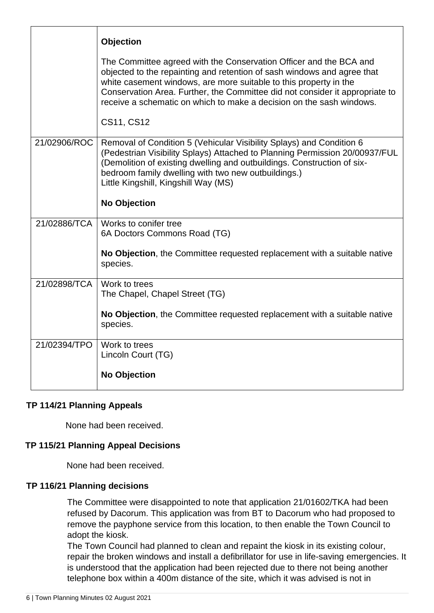|              | <b>Objection</b>                                                                                                                                                                                                                                                                                                                                                           |
|--------------|----------------------------------------------------------------------------------------------------------------------------------------------------------------------------------------------------------------------------------------------------------------------------------------------------------------------------------------------------------------------------|
|              | The Committee agreed with the Conservation Officer and the BCA and<br>objected to the repainting and retention of sash windows and agree that<br>white casement windows, are more suitable to this property in the<br>Conservation Area. Further, the Committee did not consider it appropriate to<br>receive a schematic on which to make a decision on the sash windows. |
|              | CS11, CS12                                                                                                                                                                                                                                                                                                                                                                 |
| 21/02906/ROC | Removal of Condition 5 (Vehicular Visibility Splays) and Condition 6<br>(Pedestrian Visibility Splays) Attached to Planning Permission 20/00937/FUL<br>(Demolition of existing dwelling and outbuildings. Construction of six-<br>bedroom family dwelling with two new outbuildings.)<br>Little Kingshill, Kingshill Way (MS)                                              |
|              | <b>No Objection</b>                                                                                                                                                                                                                                                                                                                                                        |
| 21/02886/TCA | Works to conifer tree<br>6A Doctors Commons Road (TG)                                                                                                                                                                                                                                                                                                                      |
|              | No Objection, the Committee requested replacement with a suitable native<br>species.                                                                                                                                                                                                                                                                                       |
| 21/02898/TCA | Work to trees<br>The Chapel, Chapel Street (TG)                                                                                                                                                                                                                                                                                                                            |
|              | No Objection, the Committee requested replacement with a suitable native<br>species.                                                                                                                                                                                                                                                                                       |
| 21/02394/TPO | Work to trees<br>Lincoln Court (TG)                                                                                                                                                                                                                                                                                                                                        |
|              | <b>No Objection</b>                                                                                                                                                                                                                                                                                                                                                        |

## **TP 114/21 Planning Appeals**

None had been received.

## **TP 115/21 Planning Appeal Decisions**

None had been received.

#### **TP 116/21 Planning decisions**

The Committee were disappointed to note that application 21/01602/TKA had been refused by Dacorum. This application was from BT to Dacorum who had proposed to remove the payphone service from this location, to then enable the Town Council to adopt the kiosk.

The Town Council had planned to clean and repaint the kiosk in its existing colour, repair the broken windows and install a defibrillator for use in life-saving emergencies. It is understood that the application had been rejected due to there not being another telephone box within a 400m distance of the site, which it was advised is not in